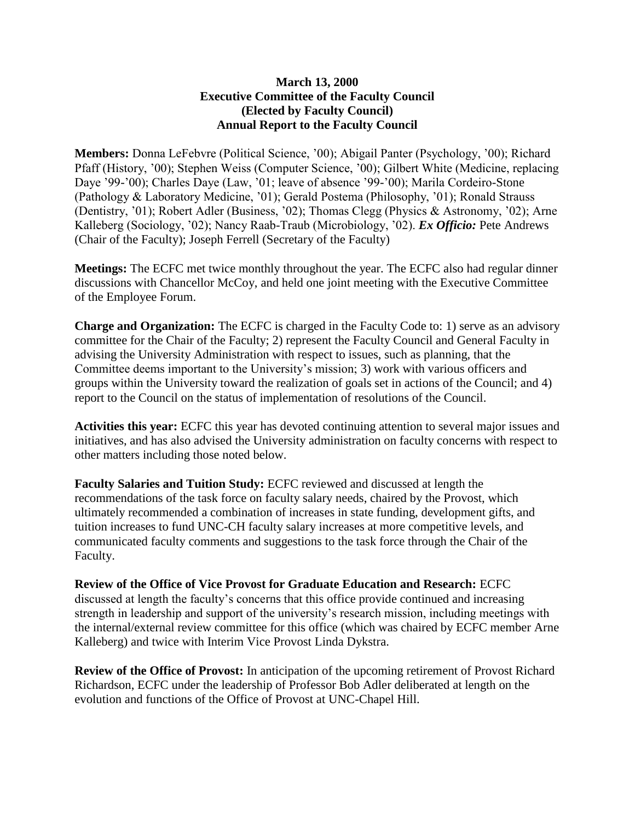## **March 13, 2000 Executive Committee of the Faculty Council (Elected by Faculty Council) Annual Report to the Faculty Council**

**Members:** Donna LeFebvre (Political Science, '00); Abigail Panter (Psychology, '00); Richard Pfaff (History, '00); Stephen Weiss (Computer Science, '00); Gilbert White (Medicine, replacing Daye '99-'00); Charles Daye (Law, '01; leave of absence '99-'00); Marila Cordeiro-Stone (Pathology & Laboratory Medicine, '01); Gerald Postema (Philosophy, '01); Ronald Strauss (Dentistry, '01); Robert Adler (Business, '02); Thomas Clegg (Physics & Astronomy, '02); Arne Kalleberg (Sociology, '02); Nancy Raab-Traub (Microbiology, '02). *Ex Officio:* Pete Andrews (Chair of the Faculty); Joseph Ferrell (Secretary of the Faculty)

**Meetings:** The ECFC met twice monthly throughout the year. The ECFC also had regular dinner discussions with Chancellor McCoy, and held one joint meeting with the Executive Committee of the Employee Forum.

**Charge and Organization:** The ECFC is charged in the Faculty Code to: 1) serve as an advisory committee for the Chair of the Faculty; 2) represent the Faculty Council and General Faculty in advising the University Administration with respect to issues, such as planning, that the Committee deems important to the University's mission; 3) work with various officers and groups within the University toward the realization of goals set in actions of the Council; and 4) report to the Council on the status of implementation of resolutions of the Council.

**Activities this year:** ECFC this year has devoted continuing attention to several major issues and initiatives, and has also advised the University administration on faculty concerns with respect to other matters including those noted below.

**Faculty Salaries and Tuition Study:** ECFC reviewed and discussed at length the recommendations of the task force on faculty salary needs, chaired by the Provost, which ultimately recommended a combination of increases in state funding, development gifts, and tuition increases to fund UNC-CH faculty salary increases at more competitive levels, and communicated faculty comments and suggestions to the task force through the Chair of the Faculty.

**Review of the Office of Vice Provost for Graduate Education and Research:** ECFC discussed at length the faculty's concerns that this office provide continued and increasing strength in leadership and support of the university's research mission, including meetings with the internal/external review committee for this office (which was chaired by ECFC member Arne Kalleberg) and twice with Interim Vice Provost Linda Dykstra.

**Review of the Office of Provost:** In anticipation of the upcoming retirement of Provost Richard Richardson, ECFC under the leadership of Professor Bob Adler deliberated at length on the evolution and functions of the Office of Provost at UNC-Chapel Hill.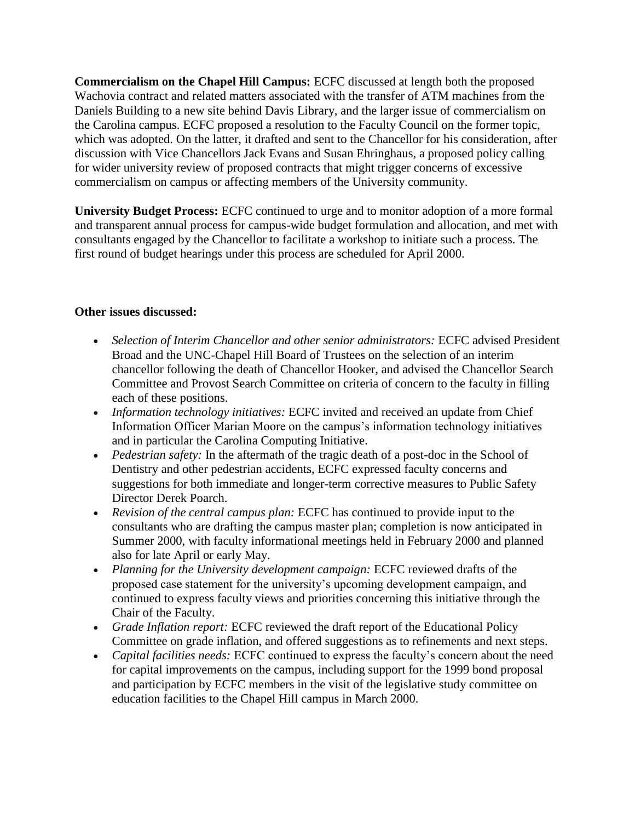**Commercialism on the Chapel Hill Campus:** ECFC discussed at length both the proposed Wachovia contract and related matters associated with the transfer of ATM machines from the Daniels Building to a new site behind Davis Library, and the larger issue of commercialism on the Carolina campus. ECFC proposed a resolution to the Faculty Council on the former topic, which was adopted. On the latter, it drafted and sent to the Chancellor for his consideration, after discussion with Vice Chancellors Jack Evans and Susan Ehringhaus, a proposed policy calling for wider university review of proposed contracts that might trigger concerns of excessive commercialism on campus or affecting members of the University community.

**University Budget Process:** ECFC continued to urge and to monitor adoption of a more formal and transparent annual process for campus-wide budget formulation and allocation, and met with consultants engaged by the Chancellor to facilitate a workshop to initiate such a process. The first round of budget hearings under this process are scheduled for April 2000.

## **Other issues discussed:**

- *Selection of Interim Chancellor and other senior administrators:* ECFC advised President Broad and the UNC-Chapel Hill Board of Trustees on the selection of an interim chancellor following the death of Chancellor Hooker, and advised the Chancellor Search Committee and Provost Search Committee on criteria of concern to the faculty in filling each of these positions.
- *Information technology initiatives:* ECFC invited and received an update from Chief Information Officer Marian Moore on the campus's information technology initiatives and in particular the Carolina Computing Initiative.
- *Pedestrian safety:* In the aftermath of the tragic death of a post-doc in the School of Dentistry and other pedestrian accidents, ECFC expressed faculty concerns and suggestions for both immediate and longer-term corrective measures to Public Safety Director Derek Poarch.
- *Revision of the central campus plan:* ECFC has continued to provide input to the consultants who are drafting the campus master plan; completion is now anticipated in Summer 2000, with faculty informational meetings held in February 2000 and planned also for late April or early May.
- *Planning for the University development campaign:* ECFC reviewed drafts of the proposed case statement for the university's upcoming development campaign, and continued to express faculty views and priorities concerning this initiative through the Chair of the Faculty.
- *Grade Inflation report:* ECFC reviewed the draft report of the Educational Policy Committee on grade inflation, and offered suggestions as to refinements and next steps.
- *Capital facilities needs:* ECFC continued to express the faculty's concern about the need for capital improvements on the campus, including support for the 1999 bond proposal and participation by ECFC members in the visit of the legislative study committee on education facilities to the Chapel Hill campus in March 2000.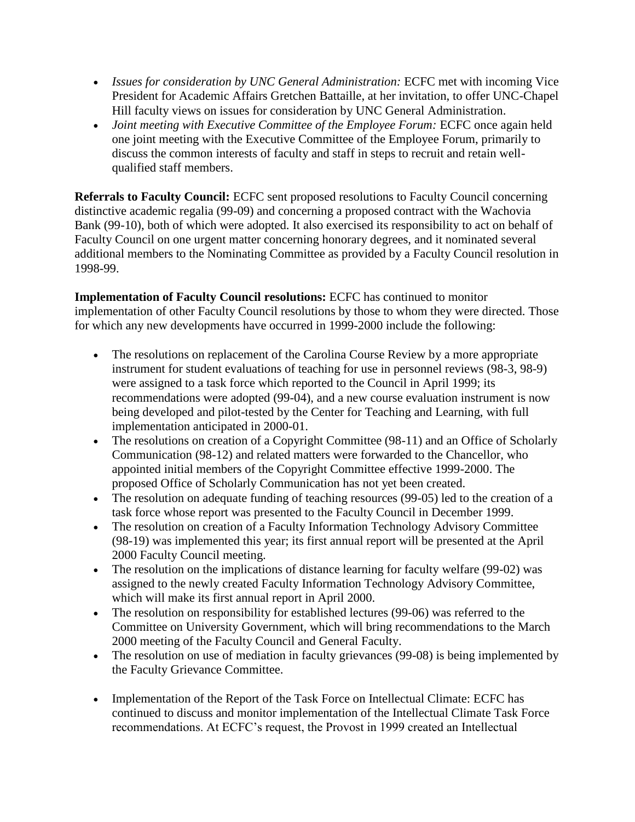- *Issues for consideration by UNC General Administration:* ECFC met with incoming Vice President for Academic Affairs Gretchen Battaille, at her invitation, to offer UNC-Chapel Hill faculty views on issues for consideration by UNC General Administration.
- *Joint meeting with Executive Committee of the Employee Forum: ECFC once again held* one joint meeting with the Executive Committee of the Employee Forum, primarily to discuss the common interests of faculty and staff in steps to recruit and retain wellqualified staff members.

**Referrals to Faculty Council:** ECFC sent proposed resolutions to Faculty Council concerning distinctive academic regalia (99-09) and concerning a proposed contract with the Wachovia Bank (99-10), both of which were adopted. It also exercised its responsibility to act on behalf of Faculty Council on one urgent matter concerning honorary degrees, and it nominated several additional members to the Nominating Committee as provided by a Faculty Council resolution in 1998-99.

**Implementation of Faculty Council resolutions:** ECFC has continued to monitor implementation of other Faculty Council resolutions by those to whom they were directed. Those for which any new developments have occurred in 1999-2000 include the following:

- The resolutions on replacement of the Carolina Course Review by a more appropriate instrument for student evaluations of teaching for use in personnel reviews (98-3, 98-9) were assigned to a task force which reported to the Council in April 1999; its recommendations were adopted (99-04), and a new course evaluation instrument is now being developed and pilot-tested by the Center for Teaching and Learning, with full implementation anticipated in 2000-01.
- The resolutions on creation of a Copyright Committee (98-11) and an Office of Scholarly Communication (98-12) and related matters were forwarded to the Chancellor, who appointed initial members of the Copyright Committee effective 1999-2000. The proposed Office of Scholarly Communication has not yet been created.
- The resolution on adequate funding of teaching resources (99-05) led to the creation of a task force whose report was presented to the Faculty Council in December 1999.
- The resolution on creation of a Faculty Information Technology Advisory Committee (98-19) was implemented this year; its first annual report will be presented at the April 2000 Faculty Council meeting.
- The resolution on the implications of distance learning for faculty welfare (99-02) was assigned to the newly created Faculty Information Technology Advisory Committee, which will make its first annual report in April 2000.
- The resolution on responsibility for established lectures (99-06) was referred to the Committee on University Government, which will bring recommendations to the March 2000 meeting of the Faculty Council and General Faculty.
- The resolution on use of mediation in faculty grievances (99-08) is being implemented by the Faculty Grievance Committee.
- Implementation of the Report of the Task Force on Intellectual Climate: ECFC has continued to discuss and monitor implementation of the Intellectual Climate Task Force recommendations. At ECFC's request, the Provost in 1999 created an Intellectual